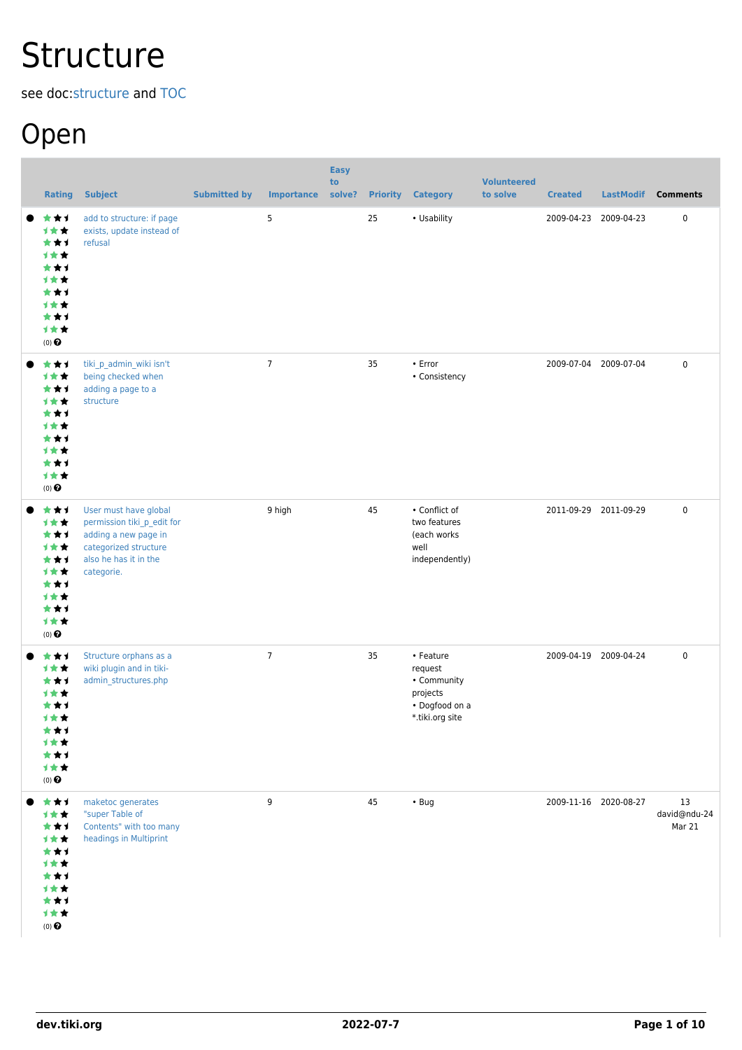# **Structure**

see doc:[structure](http://doc.tiki.org/structure) and [TOC](https://dev.tiki.org/TOC)

## Open

| <b>Rating</b>                                                                                        | <b>Subject</b>                                                                                                                              | <b>Submitted by</b> | <b>Importance</b> | <b>Easy</b><br>to<br>solve? |    | <b>Priority Category</b>                                                             | <b>Volunteered</b><br>to solve | <b>Created</b> | <b>LastModif</b>      | <b>Comments</b>              |
|------------------------------------------------------------------------------------------------------|---------------------------------------------------------------------------------------------------------------------------------------------|---------------------|-------------------|-----------------------------|----|--------------------------------------------------------------------------------------|--------------------------------|----------------|-----------------------|------------------------------|
| ★★1<br>计女女<br>***<br>计女女<br>***<br>计女女<br>***<br>计女女<br>***<br>计女女<br>$(0)$ $\odot$                  | add to structure: if page<br>exists, update instead of<br>refusal                                                                           |                     | 5                 |                             | 25 | • Usability                                                                          |                                |                | 2009-04-23 2009-04-23 | 0                            |
| ★★1<br>1★★<br>***<br>计女女<br>***<br>计女女<br>***<br>计女女<br>***<br>计女女<br>$(0)$ $\Theta$                 | tiki_p_admin_wiki isn't<br>being checked when<br>adding a page to a<br>structure                                                            |                     | $\overline{7}$    |                             | 35 | $\cdot$ Error<br>• Consistency                                                       |                                |                | 2009-07-04 2009-07-04 | $\pmb{0}$                    |
| ***<br>计女女<br>***<br>计女女<br>***<br>1★★<br>***<br>计女女<br>***<br>计女女<br>$(0)$ $\Theta$                 | User must have global<br>permission tiki_p_edit for<br>adding a new page in<br>categorized structure<br>also he has it in the<br>categorie. |                     | 9 high            |                             | 45 | • Conflict of<br>two features<br>(each works<br>well<br>independently)               |                                |                | 2011-09-29 2011-09-29 | $\pmb{0}$                    |
| ***<br>计女女<br>***<br>计女女<br>***<br><b>1**</b><br>***<br>1★★<br>***<br>计女女<br>$(0)$<br>$\pmb{\Theta}$ | Structure orphans as a<br>wiki plugin and in tiki-<br>admin_structures.php                                                                  |                     | $\overline{7}$    |                             | 35 | • Feature<br>request<br>• Community<br>projects<br>• Dogfood on a<br>*.tiki.org site |                                |                | 2009-04-19 2009-04-24 | $\pmb{0}$                    |
| ***<br>计女女<br>***<br>计女女<br>***<br>计女女<br>***<br>1★★<br>***<br>计女女<br>$(0)$<br>$\pmb{\Theta}$        | maketoc generates<br>"super Table of<br>Contents" with too many<br>headings in Multiprint                                                   |                     | 9                 |                             | 45 | $\cdot$ Bug                                                                          |                                |                | 2009-11-16 2020-08-27 | 13<br>david@ndu-24<br>Mar 21 |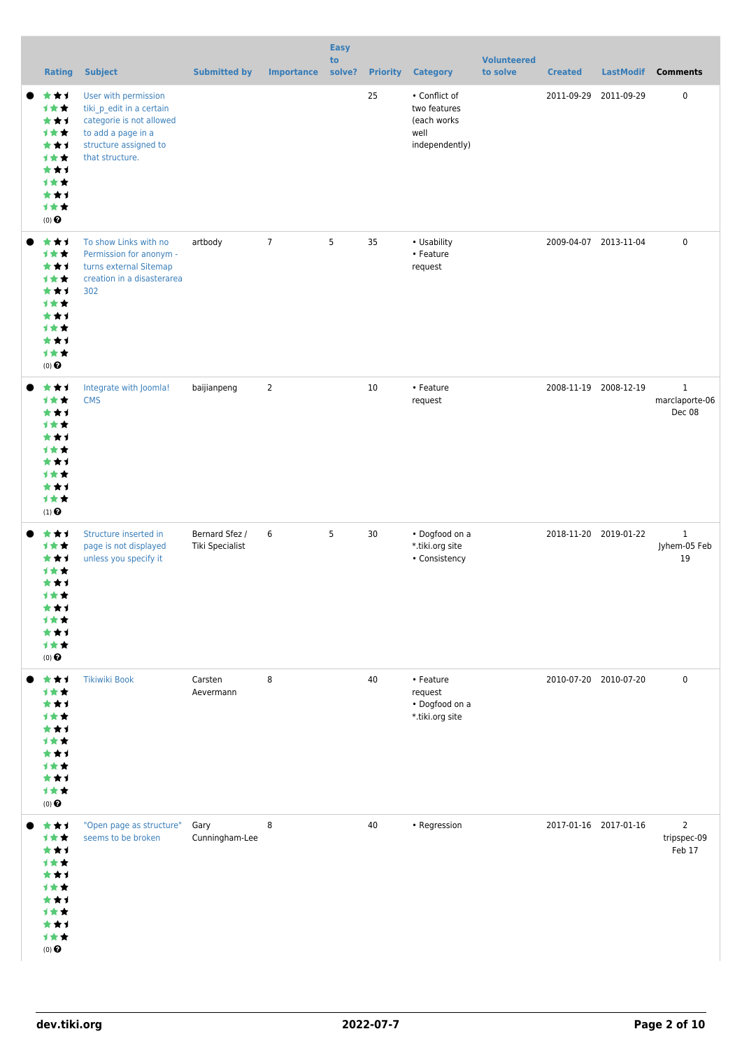| <b>Rating</b>                                                                                 | <b>Subject</b>                                                                                                                                 | <b>Submitted by</b>               | <b>Importance</b> | <b>Easy</b><br>to<br>solve? |    | <b>Priority Category</b>                                               | <b>Volunteered</b><br>to solve | <b>Created</b> |                       | LastModif Comments                       |
|-----------------------------------------------------------------------------------------------|------------------------------------------------------------------------------------------------------------------------------------------------|-----------------------------------|-------------------|-----------------------------|----|------------------------------------------------------------------------|--------------------------------|----------------|-----------------------|------------------------------------------|
| ***<br>计女女<br>***<br>计女女<br>***<br>计女女<br>***<br>1★★<br>***<br>计女女<br>$(0)$ $\odot$           | User with permission<br>tiki_p_edit in a certain<br>categorie is not allowed<br>to add a page in a<br>structure assigned to<br>that structure. |                                   |                   |                             | 25 | • Conflict of<br>two features<br>(each works<br>well<br>independently) |                                |                | 2011-09-29 2011-09-29 | 0                                        |
| ***<br>计女女<br>***<br>计女女<br>***<br>计女女<br>***<br>计女女<br>***<br>计女女<br>$(0)$ $\Theta$          | To show Links with no<br>Permission for anonym -<br>turns external Sitemap<br>creation in a disasterarea<br>302                                | artbody                           | $\overline{7}$    | 5                           | 35 | • Usability<br>• Feature<br>request                                    |                                |                | 2009-04-07 2013-11-04 | $\pmb{0}$                                |
| ***<br>计女女<br>***<br>计女女<br>***<br>1★★<br>***<br>1★★<br>***<br>计女女<br>$(1)$<br>$\pmb{\Theta}$ | Integrate with Joomla!<br><b>CMS</b>                                                                                                           | baijianpeng                       | $\overline{2}$    |                             | 10 | • Feature<br>request                                                   |                                |                | 2008-11-19 2008-12-19 | $\mathbf{1}$<br>marclaporte-06<br>Dec 08 |
| ***<br>计女女<br>***<br>计女女<br>***<br>1★★<br>***<br><b>1**</b><br>***<br>计女女<br>$(0)$ $\odot$    | Structure inserted in<br>page is not displayed<br>unless you specify it                                                                        | Bernard Sfez /<br>Tiki Specialist | 6                 | 5                           | 30 | • Dogfood on a<br>*.tiki.org site<br>• Consistency                     |                                |                | 2018-11-20 2019-01-22 | $\mathbf{1}$<br>Jyhem-05 Feb<br>19       |
| ***<br>计女女<br>***<br>计女女<br>***<br>计女女<br>***<br>1★★<br>***<br>计女女<br>$(0)$ $\odot$           | <b>Tikiwiki Book</b>                                                                                                                           | Carsten<br>Aevermann              | 8                 |                             | 40 | • Feature<br>request<br>• Dogfood on a<br>*.tiki.org site              |                                |                | 2010-07-20 2010-07-20 | 0                                        |
| ***<br>计女女<br>***<br>1★★<br>***<br>1★★<br>***<br>计女女<br>***<br>计女女<br>$(0)$ $\Theta$          | "Open page as structure"<br>seems to be broken                                                                                                 | Gary<br>Cunningham-Lee            | 8                 |                             | 40 | • Regression                                                           |                                |                | 2017-01-16 2017-01-16 | $\overline{2}$<br>tripspec-09<br>Feb 17  |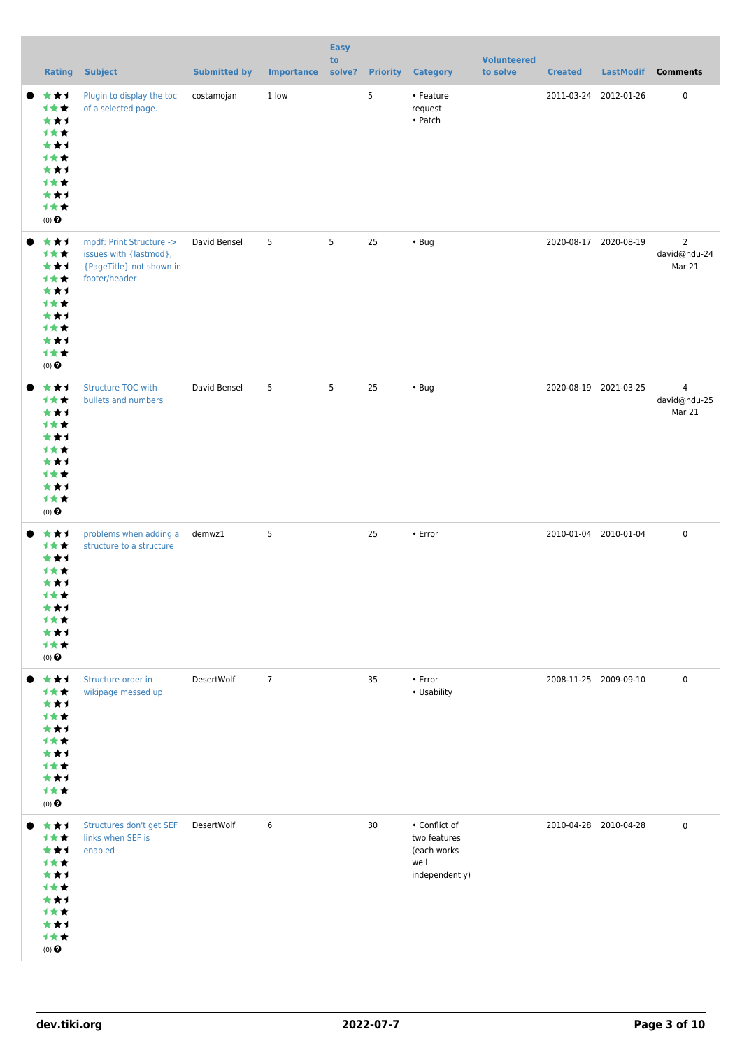| <b>Rating</b>                                                                                 | <b>Subject</b>                                                                                  | <b>Submitted by</b> | Importance     | <b>Easy</b><br>to<br>solve? |    | <b>Priority Category</b>                                               | <b>Volunteered</b><br>to solve | <b>Created</b>        | <b>LastModif</b> | <b>Comments</b>                          |
|-----------------------------------------------------------------------------------------------|-------------------------------------------------------------------------------------------------|---------------------|----------------|-----------------------------|----|------------------------------------------------------------------------|--------------------------------|-----------------------|------------------|------------------------------------------|
| ***<br>计女女<br>***<br>计女女<br>***<br>1★★<br>***<br>计女女<br>***<br>计女女<br>$(0)$<br>$\pmb{\Theta}$ | Plugin to display the toc<br>of a selected page.                                                | costamojan          | 1 low          |                             | 5  | • Feature<br>request<br>$\bullet$ Patch                                |                                | 2011-03-24 2012-01-26 |                  | $\mathbf 0$                              |
| ***<br>计女女<br>***<br>计女女<br>***<br>计女女<br>***<br>计女女<br>***<br>计女女<br>$(0)$<br>$\pmb{\Theta}$ | mpdf: Print Structure -><br>issues with {lastmod},<br>{PageTitle} not shown in<br>footer/header | David Bensel        | 5              | 5                           | 25 | $\cdot$ Bug                                                            |                                | 2020-08-17 2020-08-19 |                  | $\overline{2}$<br>david@ndu-24<br>Mar 21 |
| ***<br>计女女<br>***<br>计女女<br>***<br>计女女<br>***<br>计女女<br>***<br>计女女<br>$(0)$<br>$\pmb{\Theta}$ | <b>Structure TOC with</b><br>bullets and numbers                                                | David Bensel        | 5              | 5                           | 25 | $\cdot$ Bug                                                            |                                | 2020-08-19 2021-03-25 |                  | $\overline{4}$<br>david@ndu-25<br>Mar 21 |
| ***<br>计女女<br>***<br>1★★<br>***<br>计女女<br>***<br>计女女<br>***<br>计女女<br>$(0)$<br>$\pmb{\Theta}$ | problems when adding a<br>structure to a structure                                              | demwz1              | 5              |                             | 25 | $\cdot$ Error                                                          |                                | 2010-01-04 2010-01-04 |                  | $\mathbf 0$                              |
| ***<br>计女女<br>***<br>计女女<br>***<br>计女女<br>***<br>计女女<br>***<br>计女女<br>$(0)$<br>$\pmb{\Theta}$ | Structure order in<br>wikipage messed up                                                        | DesertWolf          | $\overline{7}$ |                             | 35 | $\cdot$ Error<br>• Usability                                           |                                | 2008-11-25 2009-09-10 |                  | $\mathbf 0$                              |
| ***<br>计女女<br>***<br>计女女<br>***<br>计女女<br>***<br>计女女<br>***<br>计女女<br>$(0)$<br>$\pmb{\Theta}$ | Structures don't get SEF<br>links when SEF is<br>enabled                                        | DesertWolf          | 6              |                             | 30 | • Conflict of<br>two features<br>(each works<br>well<br>independently) |                                | 2010-04-28 2010-04-28 |                  | 0                                        |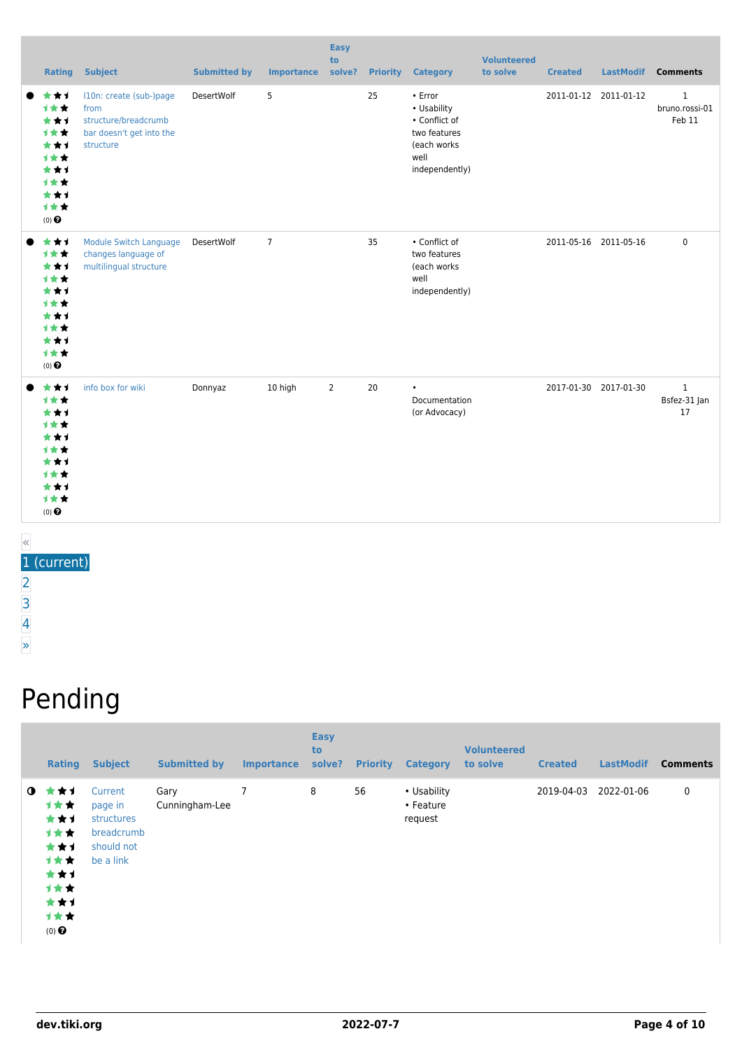| <b>Rating</b>                                                                       | <b>Subject</b>                                                                                   | <b>Submitted by</b> | <b>Importance</b> | <b>Easy</b><br>to<br>solve? |    | <b>Priority Category</b>                                                                         | <b>Volunteered</b><br>to solve | <b>Created</b> | LastModif Comments    |                                          |
|-------------------------------------------------------------------------------------|--------------------------------------------------------------------------------------------------|---------------------|-------------------|-----------------------------|----|--------------------------------------------------------------------------------------------------|--------------------------------|----------------|-----------------------|------------------------------------------|
| ***<br>***<br>***<br>1★★<br>***<br>1★★<br>***<br>计女女<br>***<br>1★★<br>$(0)$ $\odot$ | I10n: create (sub-)page<br>from<br>structure/breadcrumb<br>bar doesn't get into the<br>structure | DesertWolf          | 5                 |                             | 25 | • Error<br>• Usability<br>• Conflict of<br>two features<br>(each works<br>well<br>independently) |                                |                | 2011-01-12 2011-01-12 | $\mathbf{1}$<br>bruno.rossi-01<br>Feb 11 |
| ***<br>1★★<br>***<br>1★★<br>***<br>1★★<br>***<br>1★★<br>***<br>1★★<br>$(0)$ $\odot$ | <b>Module Switch Language</b><br>changes language of<br>multilingual structure                   | DesertWolf          | $\overline{7}$    |                             | 35 | • Conflict of<br>two features<br>(each works<br>well<br>independently)                           |                                |                | 2011-05-16 2011-05-16 | $\mathbf 0$                              |
| ***<br>1★★<br>***<br>1★★<br>***<br>计女女<br>***<br>计女女<br>***<br>1★★<br>$(0)$ $\odot$ | info box for wiki                                                                                | Donnyaz             | 10 high           | $\overline{2}$              | 20 | $\bullet$<br>Documentation<br>(or Advocacy)                                                      |                                |                | 2017-01-30 2017-01-30 | $\mathbf{1}$<br>Bsfez-31 Jan<br>17       |

« 1 (current) [2](https://dev.tiki.org/tiki-print.php?tr_sort_mode1=f_54_asc&page=Structure&tr_offset1=20)

[3](https://dev.tiki.org/tiki-print.php?tr_sort_mode1=f_54_asc&page=Structure&tr_offset1=40)

[4](https://dev.tiki.org/tiki-print.php?tr_sort_mode1=f_54_asc&page=Structure&tr_offset1=60)

[»](https://dev.tiki.org/tiki-print.php?tr_sort_mode1=f_54_asc&page=Structure&tr_offset1=20)

## Pending

|             | <b>Rating</b>                                                                              | <b>Subject</b>                                                            | <b>Submitted by</b>    | <b>Importance</b> | <b>Easy</b><br>to<br>solve? | <b>Priority</b> | <b>Category</b>                     | <b>Volunteered</b><br>to solve | <b>Created</b> | <b>LastModif</b> | <b>Comments</b> |
|-------------|--------------------------------------------------------------------------------------------|---------------------------------------------------------------------------|------------------------|-------------------|-----------------------------|-----------------|-------------------------------------|--------------------------------|----------------|------------------|-----------------|
| $\mathbf o$ | ***<br>计女女<br>***<br>1★★<br>***<br><b>1**</b><br>***<br>计女女<br>***<br>计女女<br>$(0)$ $\odot$ | Current<br>page in<br>structures<br>breadcrumb<br>should not<br>be a link | Gary<br>Cunningham-Lee | 7                 | 8                           | 56              | • Usability<br>• Feature<br>request |                                | 2019-04-03     | 2022-01-06       | 0               |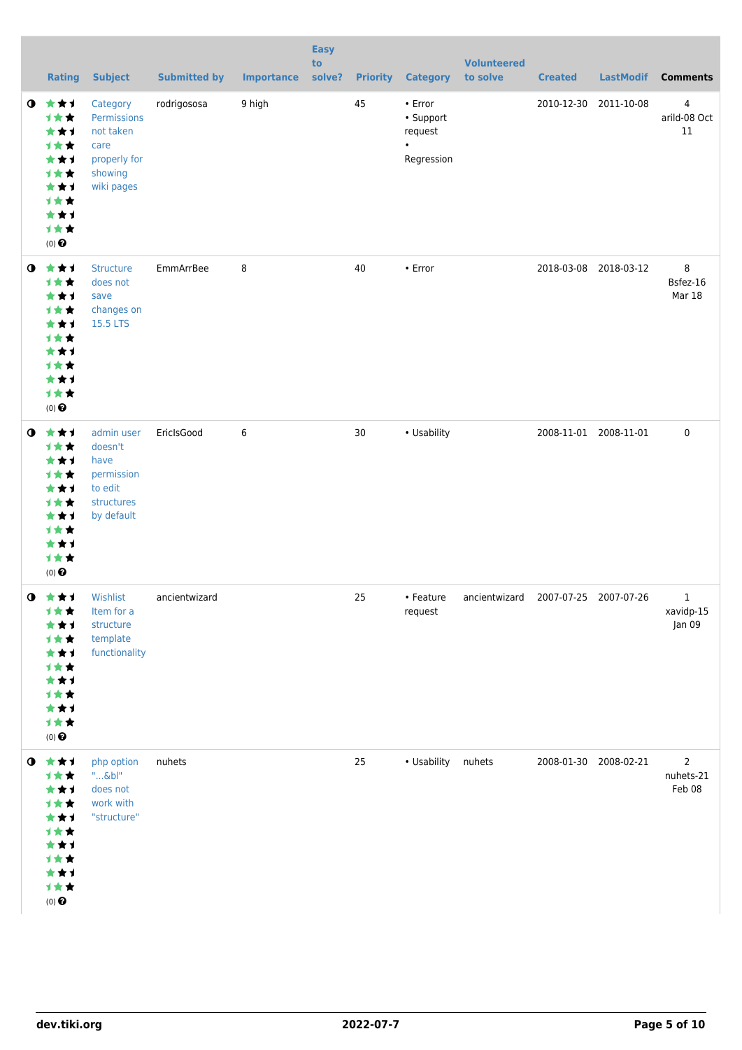|           | <b>Rating</b>                                                                                         | <b>Subject</b>                                                                        | <b>Submitted by</b> | <b>Importance</b> | <b>Easy</b><br>to<br>solve? | <b>Priority</b> | <b>Category</b>                                            | <b>Volunteered</b><br>to solve                | <b>Created</b> | <b>LastModif</b>      | <b>Comments</b>                       |
|-----------|-------------------------------------------------------------------------------------------------------|---------------------------------------------------------------------------------------|---------------------|-------------------|-----------------------------|-----------------|------------------------------------------------------------|-----------------------------------------------|----------------|-----------------------|---------------------------------------|
| $\bullet$ | ***<br>计女女<br>***<br>计女女<br>***<br>计女女<br>***<br>1★★<br>***<br>计女女<br>$(0)$ $\odot$                   | Category<br>Permissions<br>not taken<br>care<br>properly for<br>showing<br>wiki pages | rodrigososa         | 9 high            |                             | 45              | • Error<br>• Support<br>request<br>$\bullet$<br>Regression |                                               | 2010-12-30     | 2011-10-08            | 4<br>arild-08 Oct<br>$11\,$           |
| $\bullet$ | 女女子<br>计女女<br>***<br>计女女<br>***<br>计女女<br>***<br>计女女<br>***<br>计女女<br>$(0)$ $\odot$                   | <b>Structure</b><br>does not<br>save<br>changes on<br>15.5 LTS                        | EmmArrBee           | 8                 |                             | 40              | • Error                                                    |                                               | 2018-03-08     | 2018-03-12            | 8<br>Bsfez-16<br>Mar 18               |
| $\bullet$ | ***<br>计女女<br>***<br>计女女<br>***<br>计女女<br>***<br>计女女<br>***<br>计女女<br>$(0)$ $\odot$                   | admin user<br>doesn't<br>have<br>permission<br>to edit<br>structures<br>by default    | EricIsGood          | 6                 |                             | 30              | • Usability                                                |                                               |                | 2008-11-01 2008-11-01 | $\mathbf 0$                           |
|           | $0$ $\star\star\star$<br>计女女<br>***<br>计女女<br>***<br>计女女<br>***<br>计女女<br>***<br>计女女<br>$(0)$ $\odot$ | Wishlist<br>Item for a<br>structure<br>template<br>functionality                      | ancientwizard       |                   |                             | 25              | request                                                    | • Feature ancientwizard 2007-07-25 2007-07-26 |                |                       | 1<br>xavidp-15<br>Jan 09              |
|           | $0$ $\star\star\star$<br>计女女<br>***<br>计女女<br>★★1<br>计女女<br>***<br>计女女<br>***<br>计女女<br>$(0)$ $\odot$ | php option<br>$"\&b"$<br>does not<br>work with<br>"structure"                         | nuhets              |                   |                             | 25              | · Usability nuhets                                         |                                               |                | 2008-01-30 2008-02-21 | $\overline{2}$<br>nuhets-21<br>Feb 08 |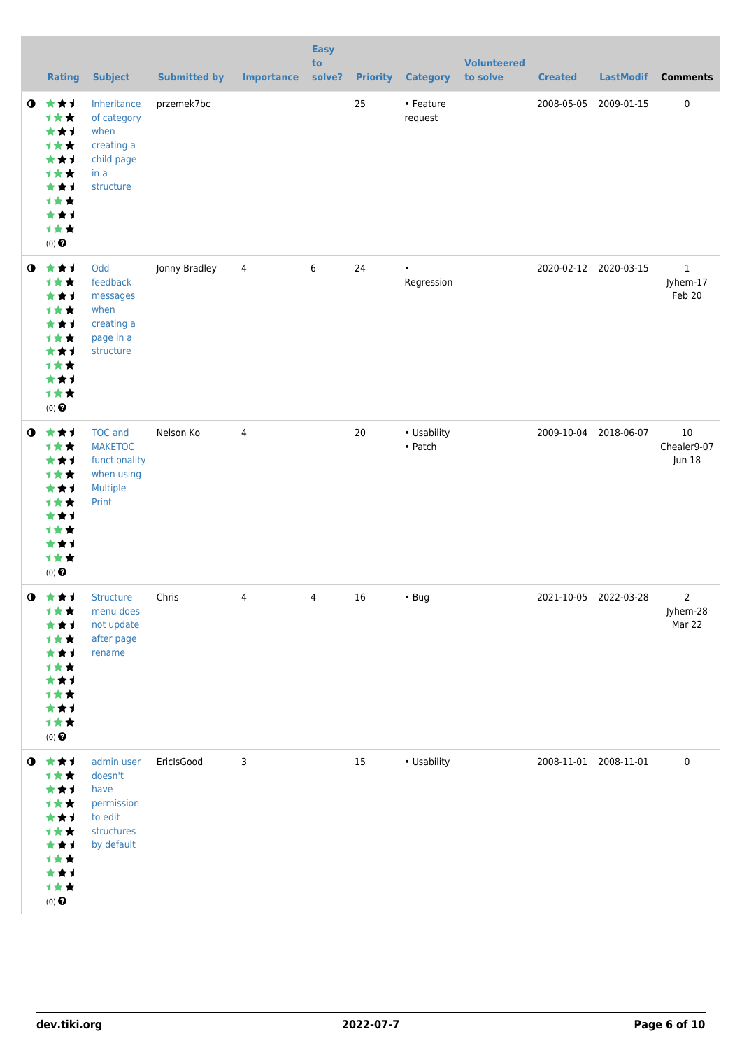|           | <b>Rating</b>                                                                                           | <b>Subject</b>                                                                       | <b>Submitted by</b> | <b>Importance</b> | <b>Easy</b><br>to<br>solve? | <b>Priority</b> | <b>Category</b>         | <b>Volunteered</b><br>to solve | <b>Created</b>        | <b>LastModif</b>      | <b>Comments</b>                    |
|-----------|---------------------------------------------------------------------------------------------------------|--------------------------------------------------------------------------------------|---------------------|-------------------|-----------------------------|-----------------|-------------------------|--------------------------------|-----------------------|-----------------------|------------------------------------|
| $\bullet$ | ***<br>计女女<br>***<br>计女女<br>***<br>计女女<br>***<br>计女女<br>***<br>计女女<br>$(0)$ $\odot$                     | Inheritance<br>of category<br>when<br>creating a<br>child page<br>in a<br>structure  | przemek7bc          |                   |                             | 25              | • Feature<br>request    |                                | 2008-05-05            | 2009-01-15            | $\pmb{0}$                          |
| $\bullet$ | ***<br>计女女<br>***<br>计女女<br>***<br>计女女<br>***<br>计女女<br>***<br>计女女<br>$(0)$ $\odot$                     | Odd<br>feedback<br>messages<br>when<br>creating a<br>page in a<br>structure          | Jonny Bradley       | 4                 | 6                           | 24              | $\bullet$<br>Regression |                                | 2020-02-12 2020-03-15 |                       | $\mathbf{1}$<br>Jyhem-17<br>Feb 20 |
| $\bullet$ | ***<br>计女女<br>***<br>计女女<br>***<br>计女女<br>***<br>计女女<br>***<br>计女女<br>$(0)$ $\odot$                     | <b>TOC</b> and<br><b>MAKETOC</b><br>functionality<br>when using<br>Multiple<br>Print | Nelson Ko           | 4                 |                             | 20              | • Usability<br>• Patch  |                                | 2009-10-04            | 2018-06-07            | 10<br>Chealer9-07<br>Jun 18        |
|           | $0$ $\star\star\star$<br>计女女<br>***<br>计女女<br>***<br>计女女<br>***<br>计女女<br>***<br>计女女<br>$(0)$ $\odot$   | Structure<br>menu does<br>not update<br>after page<br>rename                         | Chris               | 4                 | $\overline{4}$              | 16              | $\cdot$ Bug             |                                |                       | 2021-10-05 2022-03-28 | 2<br>Jyhem-28<br>Mar 22            |
|           | $0$ $\star$ $\star$ $1$<br>计女女<br>***<br>计女女<br>***<br>计女女<br>***<br>计女女<br>***<br>计女女<br>$(0)$ $\odot$ | admin user<br>doesn't<br>have<br>permission<br>to edit<br>structures<br>by default   | EricIsGood          | $\mathbf{3}$      |                             | $15\,$          | • Usability             |                                | 2008-11-01 2008-11-01 |                       | $\mathbf 0$                        |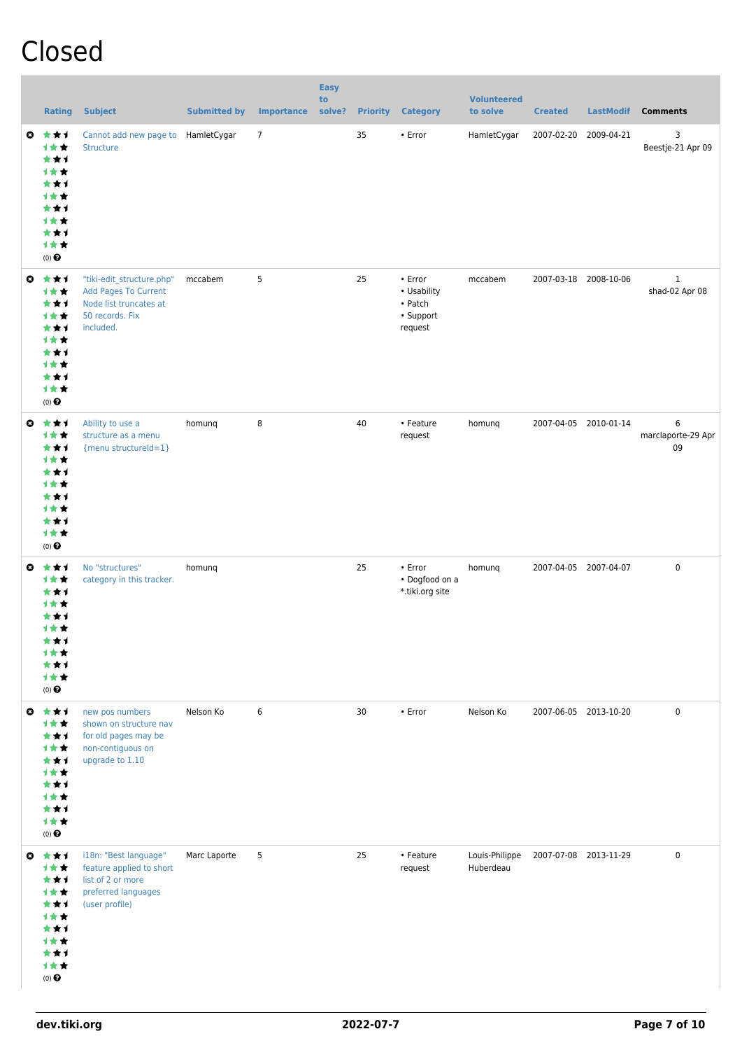### Closed

|           | <b>Rating</b>                                                                                         | <b>Subject</b>                                                                                                     | <b>Submitted by</b> | <b>Importance</b> | <b>Easy</b><br>to<br>solve? | <b>Priority</b> | <b>Category</b>                                                 | <b>Volunteered</b><br>to solve | <b>Created</b> | <b>LastModif</b>      | <b>Comments</b>                |
|-----------|-------------------------------------------------------------------------------------------------------|--------------------------------------------------------------------------------------------------------------------|---------------------|-------------------|-----------------------------|-----------------|-----------------------------------------------------------------|--------------------------------|----------------|-----------------------|--------------------------------|
| O         | ***<br>1★★<br>***<br>计女女<br>***<br>计女女<br>***<br>计女女<br>***<br>计女女<br>$(0)$ $\Theta$                  | Cannot add new page to<br><b>Structure</b>                                                                         | HamletCygar         | $\overline{7}$    |                             | 35              | • Error                                                         | HamletCygar                    | 2007-02-20     | 2009-04-21            | 3<br>Beestje-21 Apr 09         |
| $\bullet$ | ***<br>计女女<br>***<br>1★★<br>***<br>1★★<br>***<br>1★★<br>***<br>计女女<br>$(0)$ $\bigodot$                | "tiki-edit_structure.php"<br><b>Add Pages To Current</b><br>Node list truncates at<br>50 records. Fix<br>included. | mccabem             | 5                 |                             | 25              | $\cdot$ Error<br>• Usability<br>• Patch<br>• Support<br>request | mccabem                        |                | 2007-03-18 2008-10-06 | $\mathbf{1}$<br>shad-02 Apr 08 |
|           | ◎ ★★1<br>1★★<br>***<br>1★★<br>***<br>计女女<br>***<br>计女女<br>***<br>计女女<br>$(0)$ $\bigodot$              | Ability to use a<br>structure as a menu<br>{menu structureId=1}                                                    | homung              | 8                 |                             | 40              | • Feature<br>request                                            | homunq                         |                | 2007-04-05 2010-01-14 | 6<br>marclaporte-29 Apr<br>09  |
| O         | 大大才<br>计女女<br>***<br>计女女<br>***<br>计女女<br>***<br>计女女<br>***<br>计女女<br>$(0)$ $\odot$                   | No "structures"<br>category in this tracker.                                                                       | homung              |                   |                             | 25              | $\cdot$ Error<br>• Dogfood on a<br>*.tiki.org site              | homunq                         |                | 2007-04-05 2007-04-07 | $\pmb{0}$                      |
|           | $0 \star \star \star$<br>计女女<br>***<br>计女女<br>***<br>计女女<br>***<br>计女女<br>***<br>计女女<br>$(0)$ $\odot$ | new pos numbers<br>shown on structure nav<br>for old pages may be<br>non-contiguous on<br>upgrade to 1.10          | Nelson Ko           | 6                 |                             | 30              | $\cdot$ Error                                                   | Nelson Ko                      |                | 2007-06-05 2013-10-20 | $\pmb{0}$                      |
| $\bullet$ | ***<br>计女女<br>***<br>计女女<br>***<br>计女女<br>***<br>计女女<br>***<br>计女女<br>$(0)$ $\pmb{\Theta}$            | i18n: "Best language"<br>feature applied to short<br>list of 2 or more<br>preferred languages<br>(user profile)    | Marc Laporte        | 5                 |                             | 25              | • Feature<br>request                                            | Louis-Philippe<br>Huberdeau    |                | 2007-07-08 2013-11-29 | $\pmb{0}$                      |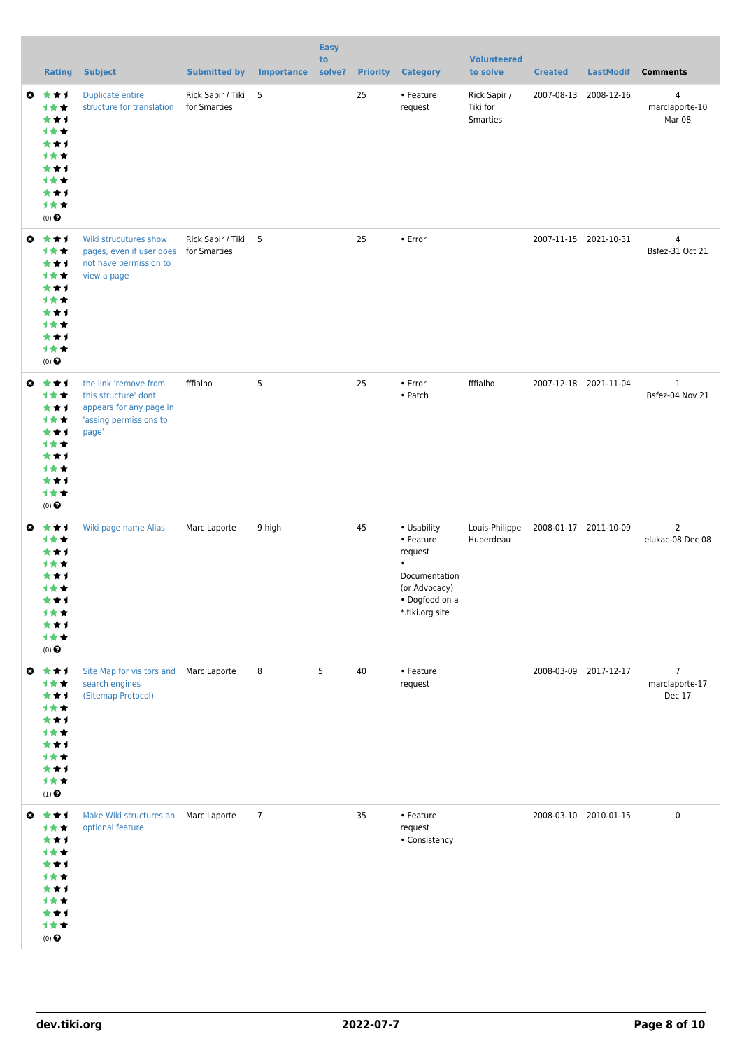|              | <b>Rating</b>                                                                                           | <b>Subject</b>                                                                                              | <b>Submitted by</b>                 | <b>Importance</b> | <b>Easy</b><br>to<br>solve? |    | <b>Priority Category</b>                                                                                                | <b>Volunteered</b><br>to solve              | <b>Created</b>        |                       | LastModif Comments                         |
|--------------|---------------------------------------------------------------------------------------------------------|-------------------------------------------------------------------------------------------------------------|-------------------------------------|-------------------|-----------------------------|----|-------------------------------------------------------------------------------------------------------------------------|---------------------------------------------|-----------------------|-----------------------|--------------------------------------------|
|              | $Q \star \star I$<br>计女女<br>***<br>计女女<br>***<br>计女女<br>***<br>计女女<br>***<br>计女女<br>$(0)$ $\bigodot$    | <b>Duplicate entire</b><br>structure for translation                                                        | Rick Sapir / Tiki 5<br>for Smarties |                   |                             | 25 | • Feature<br>request                                                                                                    | Rick Sapir /<br>Tiki for<br><b>Smarties</b> |                       | 2007-08-13 2008-12-16 | 4<br>marclaporte-10<br>Mar 08              |
| $\bullet$    | ***<br>计女女<br>***<br>计女女<br>***<br>计女女<br>***<br>计女女<br>***<br>计女女<br>$(0)$ $\bigodot$                  | Wiki strucutures show<br>pages, even if user does<br>not have permission to<br>view a page                  | Rick Sapir / Tiki 5<br>for Smarties |                   |                             | 25 | • Error                                                                                                                 |                                             |                       | 2007-11-15 2021-10-31 | $\overline{4}$<br>Bsfez-31 Oct 21          |
|              | ◎ ★★★<br>计女女<br>***<br>计女女<br>***<br>计女女<br>***<br>计女女<br>***<br>计女女<br>$(0)$ $\odot$                   | the link 'remove from<br>this structure' dont<br>appears for any page in<br>'assing permissions to<br>page' | fffialho                            | 5                 |                             | 25 | $\cdot$ Error<br>• Patch                                                                                                | fffialho                                    |                       | 2007-12-18 2021-11-04 | $\mathbf{1}$<br>Bsfez-04 Nov 21            |
| $\mathbf{c}$ | ***<br>计女女<br>***<br>计女女<br>***<br>计女女<br>***<br>计女女<br>***<br>计女女<br>$(0)$ $\odot$                     | Wiki page name Alias                                                                                        | Marc Laporte                        | 9 high            |                             | 45 | • Usability<br>• Feature<br>request<br>$\bullet$<br>Documentation<br>(or Advocacy)<br>• Dogfood on a<br>*.tiki.org site | Louis-Philippe<br>Huberdeau                 | 2008-01-17 2011-10-09 |                       | $\overline{2}$<br>elukac-08 Dec 08         |
|              | $0$ $\star$ $\star$ $1$<br>计女女<br>***<br>计女女<br>***<br>1★★<br>***<br>1★★<br>***<br>计女女<br>$(1)$ $\odot$ | Site Map for visitors and Marc Laporte<br>search engines<br>(Sitemap Protocol)                              |                                     | 8                 | 5                           | 40 | • Feature<br>request                                                                                                    |                                             |                       | 2008-03-09 2017-12-17 | $\overline{7}$<br>marclaporte-17<br>Dec 17 |
|              | ◎ ★★1<br>计女女<br>***<br>1★★<br>***<br>1★★<br>***<br>计女女<br>***<br>计女女<br>$(0)$ $\odot$                   | Make Wiki structures an Marc Laporte<br>optional feature                                                    |                                     | $\overline{7}$    |                             | 35 | • Feature<br>request<br>• Consistency                                                                                   |                                             |                       | 2008-03-10 2010-01-15 | $\pmb{0}$                                  |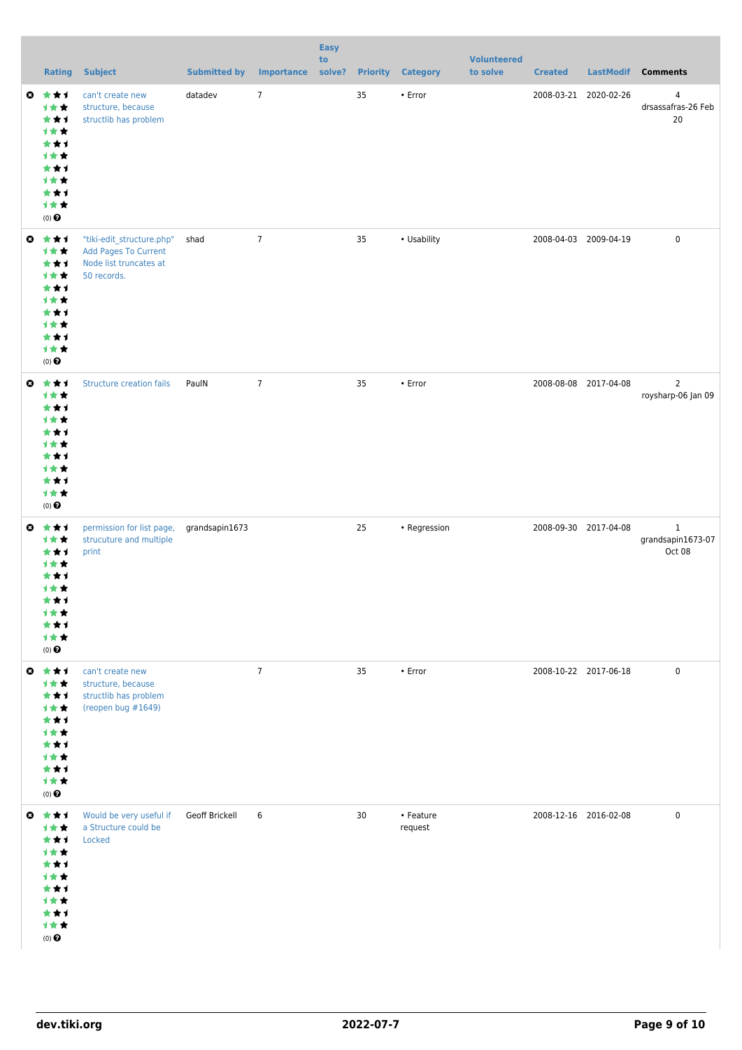|           | <b>Rating</b>                                                                                                         | <b>Subject</b>                                                                                    | <b>Submitted by</b> | Importance     | <b>Easy</b><br>to |    | solve? Priority Category | <b>Volunteered</b><br>to solve | <b>Created</b>        |                       | LastModif Comments                          |
|-----------|-----------------------------------------------------------------------------------------------------------------------|---------------------------------------------------------------------------------------------------|---------------------|----------------|-------------------|----|--------------------------|--------------------------------|-----------------------|-----------------------|---------------------------------------------|
|           | ◎ ★★1<br>1★★<br>***<br>计女女<br>***<br>计女女<br>***<br>计女女<br>***<br>计女女<br>$(0)$ $\pmb{\Theta}$                          | can't create new<br>structure, because<br>structlib has problem                                   | datadev             | $\overline{7}$ |                   | 35 | $\cdot$ Error            |                                |                       | 2008-03-21 2020-02-26 | 4<br>drsassafras-26 Feb<br>20               |
| $\bullet$ | ***<br>计女女<br>***<br>计女女<br>***<br>计女女<br>***<br>计女女<br>***<br>计女女<br>$(0)$ $\bigodot$                                | "tiki-edit_structure.php"<br><b>Add Pages To Current</b><br>Node list truncates at<br>50 records. | shad                | $\overline{7}$ |                   | 35 | • Usability              |                                |                       | 2008-04-03 2009-04-19 | $\pmb{0}$                                   |
|           | ◎ ★★1<br>计女女<br>***<br>计女女<br>***<br>计女女<br>***<br>计女女<br>***<br>计女女<br>$(0)$ $\pmb{\Theta}$                          | <b>Structure creation fails</b>                                                                   | PaulN               | $\overline{7}$ |                   | 35 | • Error                  |                                | 2008-08-08 2017-04-08 |                       | $\mathbf 2$<br>roysharp-06 Jan 09           |
| O         | 女女子<br>计女女<br>***<br>计女女<br>★★★<br>计女女<br>***<br>计女女<br>***<br>计女女<br>$(0)$ $\odot$                                   | permission for list page,<br>strucuture and multiple<br>print                                     | grandsapin1673      |                |                   | 25 | • Regression             |                                |                       | 2008-09-30 2017-04-08 | $\mathbf{1}$<br>grandsapin1673-07<br>Oct 08 |
|           | $0$ $\star$ $\star$ $\star$<br>计女女<br>***<br>计女女<br>***<br>计女女<br>***<br>计女女<br>***<br>计女女<br>$(0)$<br>$\pmb{\Theta}$ | can't create new<br>structure, because<br>structlib has problem<br>(reopen bug #1649)             |                     | $\overline{7}$ |                   | 35 | $\cdot$ Error            |                                |                       | 2008-10-22 2017-06-18 | $\mathbf 0$                                 |
|           | ◎ ★★1<br>计女女<br>***<br>计女女<br>***<br>计女女<br>***<br>计女女<br>***<br>计女女<br>$(0)$<br>$\pmb{\Theta}$                       | Would be very useful if<br>a Structure could be<br>Locked                                         | Geoff Brickell      | 6              |                   | 30 | • Feature<br>request     |                                |                       | 2008-12-16 2016-02-08 | $\pmb{0}$                                   |